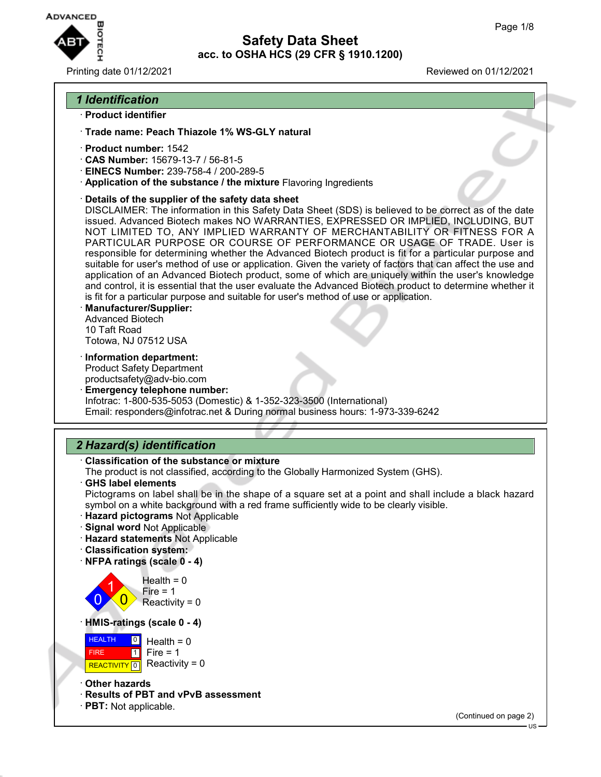

#### Printing date 01/12/2021 Reviewed on 01/12/2021

## *1 Identification*

- · **Product identifier**
- · **Trade name: Peach Thiazole 1% WS-GLY natural**
- · **Product number:** 1542
- · **CAS Number:** 15679-13-7 / 56-81-5
- · **EINECS Number:** 239-758-4 / 200-289-5
- · **Application of the substance / the mixture** Flavoring Ingredients
- · **Details of the supplier of the safety data sheet**

DISCLAIMER: The information in this Safety Data Sheet (SDS) is believed to be correct as of the date issued. Advanced Biotech makes NO WARRANTIES, EXPRESSED OR IMPLIED, INCLUDING, BUT NOT LIMITED TO, ANY IMPLIED WARRANTY OF MERCHANTABILITY OR FITNESS FOR A PARTICULAR PURPOSE OR COURSE OF PERFORMANCE OR USAGE OF TRADE. User is responsible for determining whether the Advanced Biotech product is fit for a particular purpose and suitable for user's method of use or application. Given the variety of factors that can affect the use and application of an Advanced Biotech product, some of which are uniquely within the user's knowledge and control, it is essential that the user evaluate the Advanced Biotech product to determine whether it is fit for a particular purpose and suitable for user's method of use or application.

- · **Manufacturer/Supplier:** Advanced Biotech 10 Taft Road Totowa, NJ 07512 USA
- · **Information department:**

Product Safety Department productsafety@adv-bio.com

· **Emergency telephone number:** Infotrac: 1-800-535-5053 (Domestic) & 1-352-323-3500 (International) Email: responders@infotrac.net & During normal business hours: 1-973-339-6242

## *2 Hazard(s) identification*

#### · **Classification of the substance or mixture**

The product is not classified, according to the Globally Harmonized System (GHS).

· **GHS label elements**

Pictograms on label shall be in the shape of a square set at a point and shall include a black hazard symbol on a white background with a red frame sufficiently wide to be clearly visible.

- · **Hazard pictograms** Not Applicable
- · **Signal word** Not Applicable
- · **Hazard statements** Not Applicable
- · **Classification system:**
- · **NFPA ratings (scale 0 4)**

 $\overline{0}$ 1  $\overline{0}$  $Health = 0$ Fire  $= 1$ Reactivity  $= 0$ 

· **HMIS-ratings (scale 0 - 4)**

**HEALTH**  FIRE **REACTIVITY** 0  $|0|$  $\overline{1}$ Health  $= 0$  $Fire = 1$ Reactivity  $= 0$ 

- · **Other hazards**
- · **Results of PBT and vPvB assessment**
- · **PBT:** Not applicable.

(Continued on page 2)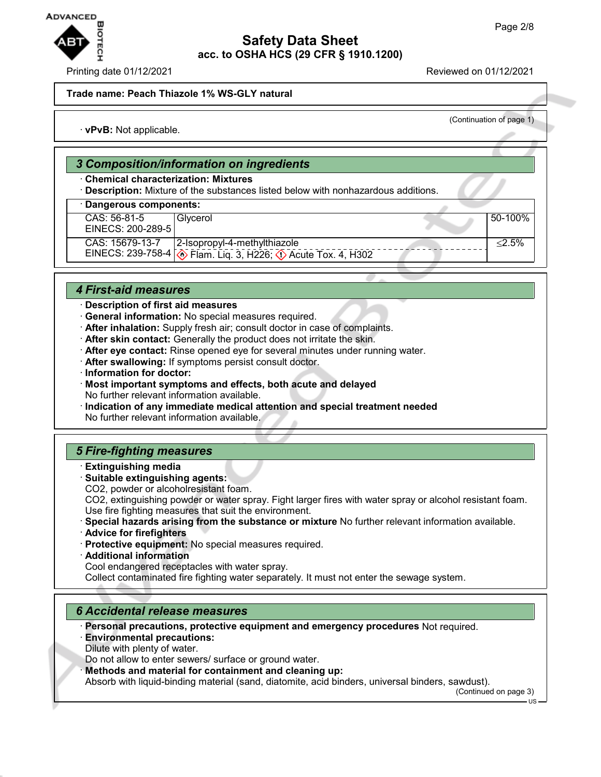

#### Printing date 01/12/2021 Reviewed on 01/12/2021

**Trade name: Peach Thiazole 1% WS-GLY natural**

(Continuation of page 1)

· **vPvB:** Not applicable.

### *3 Composition/information on ingredients*

### · **Chemical characterization: Mixtures**

· **Description:** Mixture of the substances listed below with nonhazardous additions.

### · **Dangerous components:**

CAS: 56-81-5 EINECS: 200-289-5 Glycerol 50-100% CAS: 15679-13-7 EINECS: 239-758-4 2-Isopropyl-4-methylthiazole  $\otimes$  Flam. Liq. 3, H226;  $\otimes$  Acute Tox. 4, H302 ≤2.5%

### *4 First-aid measures*

- · **Description of first aid measures**
- · **General information:** No special measures required.
- · **After inhalation:** Supply fresh air; consult doctor in case of complaints.
- · **After skin contact:** Generally the product does not irritate the skin.
- · **After eye contact:** Rinse opened eye for several minutes under running water.
- · **After swallowing:** If symptoms persist consult doctor.
- · **Information for doctor:**
- · **Most important symptoms and effects, both acute and delayed** No further relevant information available.
- · **Indication of any immediate medical attention and special treatment needed** No further relevant information available.

### *5 Fire-fighting measures*

- · **Extinguishing media**
- · **Suitable extinguishing agents:**
- CO2, powder or alcoholresistant foam.

CO2, extinguishing powder or water spray. Fight larger fires with water spray or alcohol resistant foam. Use fire fighting measures that suit the environment.

- · **Special hazards arising from the substance or mixture** No further relevant information available.
- · **Advice for firefighters**
- · **Protective equipment:** No special measures required.
- · **Additional information**

Cool endangered receptacles with water spray.

Collect contaminated fire fighting water separately. It must not enter the sewage system.

### *6 Accidental release measures*

· **Personal precautions, protective equipment and emergency procedures** Not required.

· **Environmental precautions:** Dilute with plenty of water.

Do not allow to enter sewers/ surface or ground water.

· **Methods and material for containment and cleaning up:**

Absorb with liquid-binding material (sand, diatomite, acid binders, universal binders, sawdust).

(Continued on page 3)

US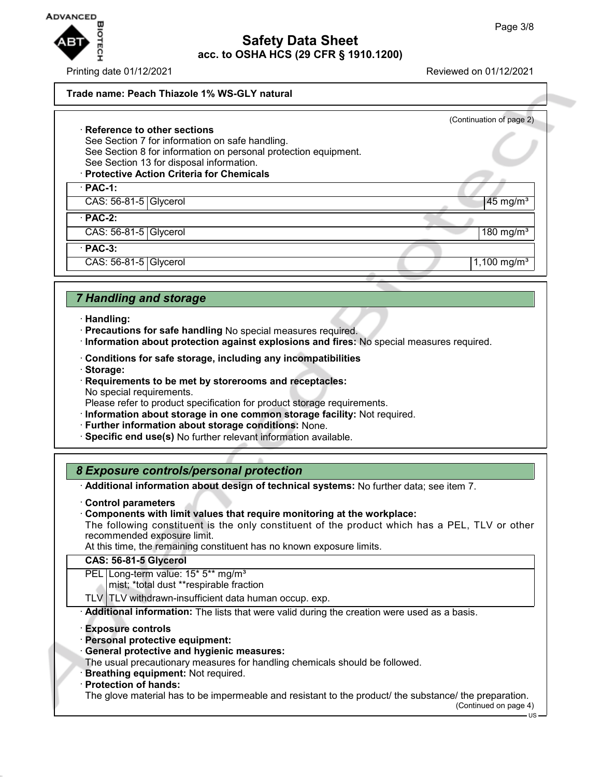

Printing date 01/12/2021 Reviewed on 01/12/2021

### **Trade name: Peach Thiazole 1% WS-GLY natural**

## (Continuation of page 2) · **Reference to other sections** See Section 7 for information on safe handling. See Section 8 for information on personal protection equipment. See Section 13 for disposal information. · **Protective Action Criteria for Chemicals** · **PAC-1:**  $\text{CAS: } 56-81-5$  Glycerol  $\overline{45}$  mg/m<sup>3</sup> · **PAC-2:**  $\text{CAS: } 56-81-5 \text{ } | \text{Glycerol} |$  180 mg/m $3$ · **PAC-3:**

 $\text{CAS: } 56-81-5$  Glycerol  $\vert 1,100 \text{ mg/m}^3$ 

## *7 Handling and storage*

- · **Handling:**
- · **Precautions for safe handling** No special measures required.
- · **Information about protection against explosions and fires:** No special measures required.
- · **Conditions for safe storage, including any incompatibilities**
- · **Storage:**
- · **Requirements to be met by storerooms and receptacles:** No special requirements.

Please refer to product specification for product storage requirements.

- · **Information about storage in one common storage facility:** Not required.
- · **Further information about storage conditions:** None.
- · **Specific end use(s)** No further relevant information available.

## *8 Exposure controls/personal protection*

· **Additional information about design of technical systems:** No further data; see item 7.

· **Control parameters**

· **Components with limit values that require monitoring at the workplace:**

The following constituent is the only constituent of the product which has a PEL, TLV or other recommended exposure limit.

At this time, the remaining constituent has no known exposure limits.

#### **CAS: 56-81-5 Glycerol**

PEL Long-term value: 15<sup>\*</sup> 5<sup>\*\*</sup> mg/m<sup>3</sup>

mist; \*total dust \*\*respirable fraction

 $TLV$  TLV withdrawn-insufficient data human occup. exp.

· **Additional information:** The lists that were valid during the creation were used as a basis.

- · **Exposure controls**
- · **Personal protective equipment:**
- · **General protective and hygienic measures:**

The usual precautionary measures for handling chemicals should be followed.

- **Breathing equipment:** Not required.
- · **Protection of hands:**

The glove material has to be impermeable and resistant to the product/ the substance/ the preparation.

(Continued on page 4)

US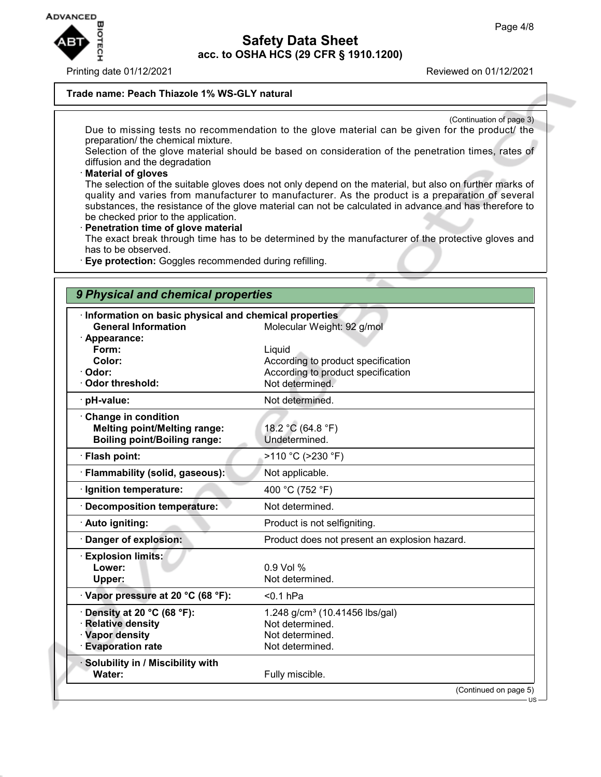

Printing date 01/12/2021 Reviewed on 01/12/2021

#### **Trade name: Peach Thiazole 1% WS-GLY natural**

(Continuation of page 3) Due to missing tests no recommendation to the glove material can be given for the product/ the preparation/ the chemical mixture.

Selection of the glove material should be based on consideration of the penetration times, rates of diffusion and the degradation

### · **Material of gloves**

The selection of the suitable gloves does not only depend on the material, but also on further marks of quality and varies from manufacturer to manufacturer. As the product is a preparation of several substances, the resistance of the glove material can not be calculated in advance and has therefore to be checked prior to the application.

#### · **Penetration time of glove material**

The exact break through time has to be determined by the manufacturer of the protective gloves and has to be observed.

· **Eye protection:** Goggles recommended during refilling.

### *9 Physical and chemical properties*

| Information on basic physical and chemical properties<br><b>General Information</b>                     | Molecular Weight: 92 g/mol                                                                            |
|---------------------------------------------------------------------------------------------------------|-------------------------------------------------------------------------------------------------------|
| · Appearance:<br>Form:<br>Color:<br>· Odor:<br><b>Odor threshold:</b>                                   | Liquid<br>According to product specification<br>According to product specification<br>Not determined. |
| · pH-value:                                                                                             | Not determined.                                                                                       |
| Change in condition<br><b>Melting point/Melting range:</b><br><b>Boiling point/Boiling range:</b>       | 18.2 °C (64.8 °F)<br>Undetermined.                                                                    |
| · Flash point:                                                                                          | >110 °C (>230 °F)                                                                                     |
| · Flammability (solid, gaseous):                                                                        | Not applicable.                                                                                       |
| Ignition temperature:                                                                                   | 400 °C (752 °F)                                                                                       |
| <b>Decomposition temperature:</b>                                                                       | Not determined.                                                                                       |
| · Auto igniting:                                                                                        | Product is not selfigniting.                                                                          |
| · Danger of explosion:                                                                                  | Product does not present an explosion hazard.                                                         |
| <b>Explosion limits:</b><br>Lower:<br>Upper:                                                            | $0.9$ Vol %<br>Not determined.                                                                        |
| Vapor pressure at 20 °C (68 °F):                                                                        | $0.1$ hPa                                                                                             |
| Density at 20 °C (68 °F):<br><b>Relative density</b><br><b>Vapor density</b><br><b>Evaporation rate</b> | 1.248 g/cm <sup>3</sup> (10.41456 lbs/gal)<br>Not determined.<br>Not determined.<br>Not determined.   |
| · Solubility in / Miscibility with<br>Water:                                                            | Fully miscible.                                                                                       |
|                                                                                                         | (Continued on page 5)                                                                                 |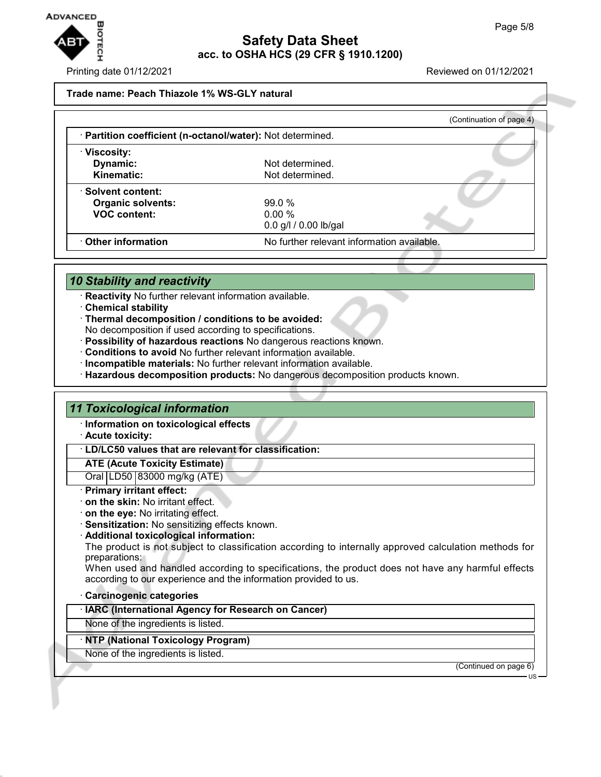

#### Printing date 01/12/2021 Reviewed on 01/12/2021

#### **Trade name: Peach Thiazole 1% WS-GLY natural**

|                                                            |                                            | (Continuation of page 4) |
|------------------------------------------------------------|--------------------------------------------|--------------------------|
| · Partition coefficient (n-octanol/water): Not determined. |                                            |                          |
| · Viscosity:                                               |                                            |                          |
| Dynamic:                                                   | Not determined.                            |                          |
| Kinematic:                                                 | Not determined.                            |                          |
| · Solvent content:                                         |                                            |                          |
| <b>Organic solvents:</b>                                   | 99.0%                                      |                          |
| <b>VOC content:</b>                                        | $0.00\%$                                   |                          |
|                                                            | 0.0 g/l / 0.00 lb/gal                      |                          |
| Other information                                          | No further relevant information available. |                          |

## *10 Stability and reactivity*

- · **Reactivity** No further relevant information available.
- · **Chemical stability**
- · **Thermal decomposition / conditions to be avoided:**
- No decomposition if used according to specifications.
- · **Possibility of hazardous reactions** No dangerous reactions known.
- · **Conditions to avoid** No further relevant information available.
- · **Incompatible materials:** No further relevant information available.
- · **Hazardous decomposition products:** No dangerous decomposition products known.

### *11 Toxicological information*

- · **Information on toxicological effects**
- · **Acute toxicity:**
- · **LD/LC50 values that are relevant for classification:**

#### **ATE (Acute Toxicity Estimate)**

Oral LD50 83000 mg/kg (ATE)

#### · **Primary irritant effect:**

- · **on the skin:** No irritant effect.
- · **on the eye:** No irritating effect.
- · **Sensitization:** No sensitizing effects known.
- · **Additional toxicological information:**
- The product is not subject to classification according to internally approved calculation methods for preparations:

When used and handled according to specifications, the product does not have any harmful effects according to our experience and the information provided to us.

#### · **Carcinogenic categories**

· **IARC (International Agency for Research on Cancer)**

None of the ingredients is listed.

#### · **NTP (National Toxicology Program)**

None of the ingredients is listed.

(Continued on page 6)

US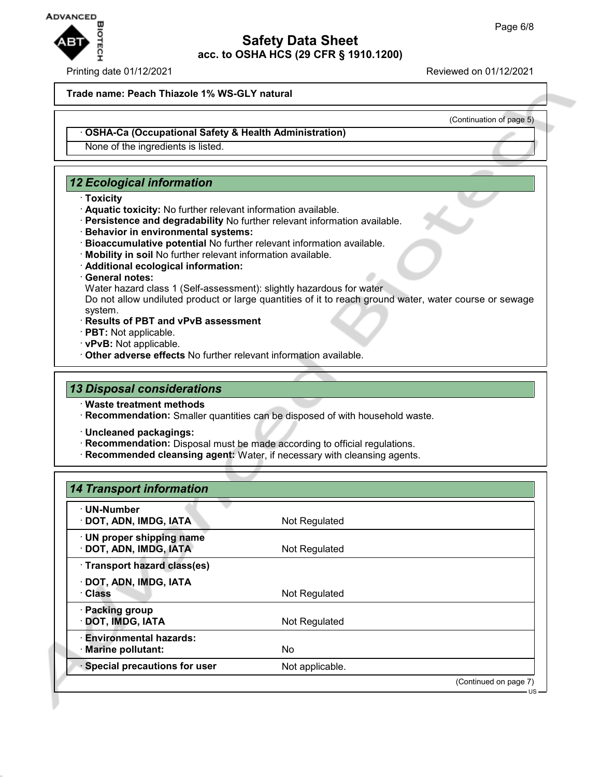

### Printing date 01/12/2021 Reviewed on 01/12/2021

#### **Trade name: Peach Thiazole 1% WS-GLY natural**

(Continuation of page 5)

#### · **OSHA-Ca (Occupational Safety & Health Administration)**

None of the ingredients is listed.

## *12 Ecological information*

- · **Toxicity**
- · **Aquatic toxicity:** No further relevant information available.
- · **Persistence and degradability** No further relevant information available.
- · **Behavior in environmental systems:**
- · **Bioaccumulative potential** No further relevant information available.
- · **Mobility in soil** No further relevant information available.
- · **Additional ecological information:**

#### · **General notes:**

Water hazard class 1 (Self-assessment): slightly hazardous for water

Do not allow undiluted product or large quantities of it to reach ground water, water course or sewage system.

- · **Results of PBT and vPvB assessment**
- · **PBT:** Not applicable.
- · **vPvB:** Not applicable.
- · **Other adverse effects** No further relevant information available.

## *13 Disposal considerations*

- · **Waste treatment methods**
- · **Recommendation:** Smaller quantities can be disposed of with household waste.
- · **Uncleaned packagings:**
- · **Recommendation:** Disposal must be made according to official regulations.
- · **Recommended cleansing agent:** Water, if necessary with cleansing agents.

## *14 Transport information*

| Not Regulated   |                       |
|-----------------|-----------------------|
| Not Regulated   |                       |
|                 |                       |
| Not Regulated   |                       |
| Not Regulated   |                       |
| No              |                       |
| Not applicable. |                       |
|                 | (Continued on page 7) |
|                 |                       |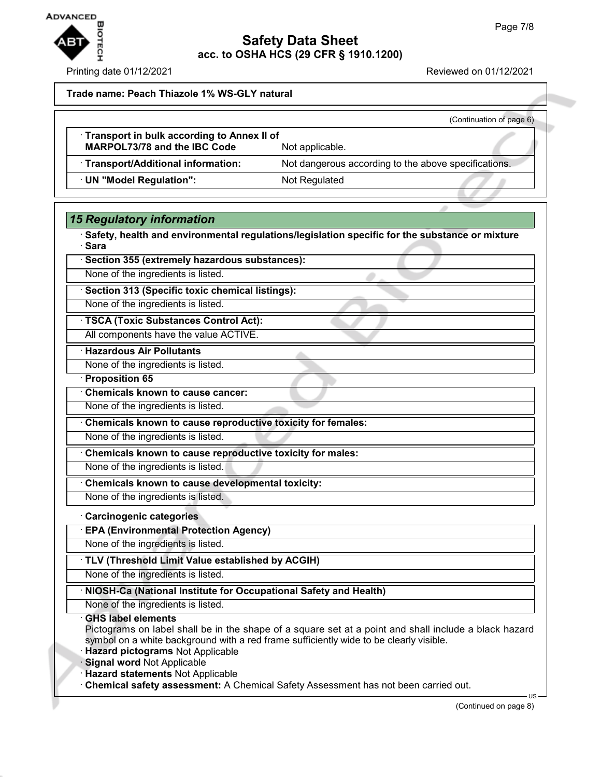

Printing date 01/12/2021 **Reviewed on 01/12/2021** 

**Trade name: Peach Thiazole 1% WS-GLY natural**

|                                                                            | (Continuation of page 6)                             |
|----------------------------------------------------------------------------|------------------------------------------------------|
| Transport in bulk according to Annex II of<br>MARPOL73/78 and the IBC Code | Not applicable.                                      |
| · Transport/Additional information:                                        | Not dangerous according to the above specifications. |
| · UN "Model Regulation":                                                   | Not Regulated                                        |

## *15 Regulatory information*

· **Safety, health and environmental regulations/legislation specific for the substance or mixture** · **Sara**

· **Section 355 (extremely hazardous substances):**

None of the ingredients is listed.

· **Section 313 (Specific toxic chemical listings):**

None of the ingredients is listed.

· **TSCA (Toxic Substances Control Act):** All components have the value ACTIVE.

· **Hazardous Air Pollutants**

None of the ingredients is listed.

· **Proposition 65**

· **Chemicals known to cause cancer:**

None of the ingredients is listed.

· **Chemicals known to cause reproductive toxicity for females:**

None of the ingredients is listed.

· **Chemicals known to cause reproductive toxicity for males:**

None of the ingredients is listed.

· **Chemicals known to cause developmental toxicity:**

None of the ingredients is listed.

### · **Carcinogenic categories**

· **EPA (Environmental Protection Agency)**

None of the ingredients is listed.

· **TLV (Threshold Limit Value established by ACGIH)**

None of the ingredients is listed.

## · **NIOSH-Ca (National Institute for Occupational Safety and Health)**

None of the ingredients is listed.

### · **GHS label elements**

Pictograms on label shall be in the shape of a square set at a point and shall include a black hazard symbol on a white background with a red frame sufficiently wide to be clearly visible.

· **Hazard pictograms** Not Applicable

**Signal word Not Applicable** 

· **Hazard statements** Not Applicable

· **Chemical safety assessment:** A Chemical Safety Assessment has not been carried out.

US